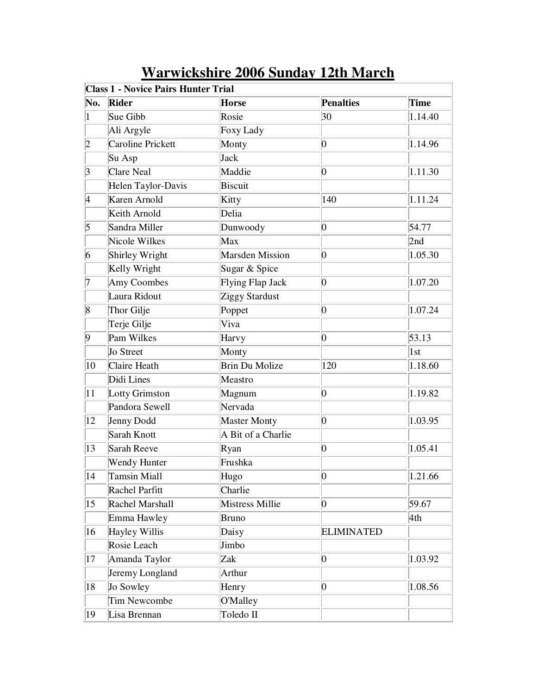|                         | <b>Class 1 - Novice Pairs Hunter Trial</b> |                        |                   |                   |  |
|-------------------------|--------------------------------------------|------------------------|-------------------|-------------------|--|
| No.                     | Rider                                      | <b>Horse</b>           | <b>Penalties</b>  | Time              |  |
| $\vert$ 1               | Sue Gibb                                   | Rosie                  | 30                | 1.14.40           |  |
|                         | Ali Argyle                                 | Foxy Lady              |                   |                   |  |
| $\overline{2}$          | Caroline Prickett                          | Monty                  | $\vert 0 \vert$   | 1.14.96           |  |
|                         | Su Asp                                     | Jack                   |                   |                   |  |
| $\overline{\mathbf{3}}$ | Clare Neal                                 | Maddie                 | $\vert 0 \vert$   | 1.11.30           |  |
|                         | Helen Taylor-Davis                         | <b>Biscuit</b>         |                   |                   |  |
| $\vert 4$               | Karen Arnold                               | Kitty                  | 140               | 1.11.24           |  |
|                         | Keith Arnold                               | Delia                  |                   |                   |  |
| $\overline{5}$          | Sandra Miller                              | Dunwoody               | $\vert 0 \vert$   | 54.77             |  |
|                         | Nicole Wilkes                              | Max                    |                   | 2nd               |  |
| $\vert 6 \vert$         | Shirley Wright                             | <b>Marsden Mission</b> | $\vert 0 \vert$   | 1.05.30           |  |
|                         | Kelly Wright                               | Sugar & Spice          |                   |                   |  |
| 7                       | Amy Coombes                                | Flying Flap Jack       | $\vert 0 \vert$   | 1.07.20           |  |
|                         | Laura Ridout                               | Ziggy Stardust         |                   |                   |  |
| $\vert 8$               | Thor Gilje                                 | Poppet                 | $\vert 0 \vert$   | 1.07.24           |  |
|                         | Terje Gilje                                | Viva                   |                   |                   |  |
| $\overline{9}$          | Pam Wilkes                                 | Harvy                  | $\vert 0 \vert$   | 53.13             |  |
|                         | Jo Street                                  | Monty                  |                   | $\vert 1st \vert$ |  |
| $ 10\rangle$            | Claire Heath                               | <b>Brin Du Molize</b>  | 120               | 1.18.60           |  |
|                         | Didi Lines                                 | Meastro                |                   |                   |  |
| $ 11\rangle$            | Lotty Grimston                             | Magnum                 | $\vert 0 \vert$   | 1.19.82           |  |
|                         | Pandora Sewell                             | Nervada                |                   |                   |  |
| $ 12\rangle$            | Jenny Dodd                                 | <b>Master Monty</b>    | $\vert 0 \vert$   | 1.03.95           |  |
|                         | Sarah Knott                                | A Bit of a Charlie     |                   |                   |  |
| $ 13\rangle$            | Sarah Reeve                                | Ryan                   | $\vert 0 \vert$   | 1.05.41           |  |
|                         | Wendy Hunter                               | Frushka                |                   |                   |  |
| $\overline{14}$         | <b>Tamsin Miall</b>                        | Hugo                   | $\overline{0}$    | $\sqrt{1.21.66}$  |  |
|                         | Rachel Parfitt                             | Charlie                |                   |                   |  |
| $ 15\rangle$            | Rachel Marshall                            | Mistress Millie        | $\vert 0 \vert$   | 59.67             |  |
|                         | Emma Hawley                                | <b>Bruno</b>           |                   | 4th               |  |
| 16                      | Hayley Willis                              | Daisy                  | <b>ELIMINATED</b> |                   |  |
|                         | Rosie Leach                                | Jimbo                  |                   |                   |  |
| $ 17\rangle$            | Amanda Taylor                              | Zak                    | $\vert 0 \vert$   | 1.03.92           |  |
|                         | Jeremy Longland                            | Arthur                 |                   |                   |  |
| 18                      | Jo Sowley                                  | Henry                  | $\vert 0 \vert$   | 1.08.56           |  |
|                         | Tim Newcombe                               | <b>O'Malley</b>        |                   |                   |  |
| 19                      | Lisa Brennan                               | Toledo II              |                   |                   |  |

## **Warwickshire 2006 Sunday 12th March**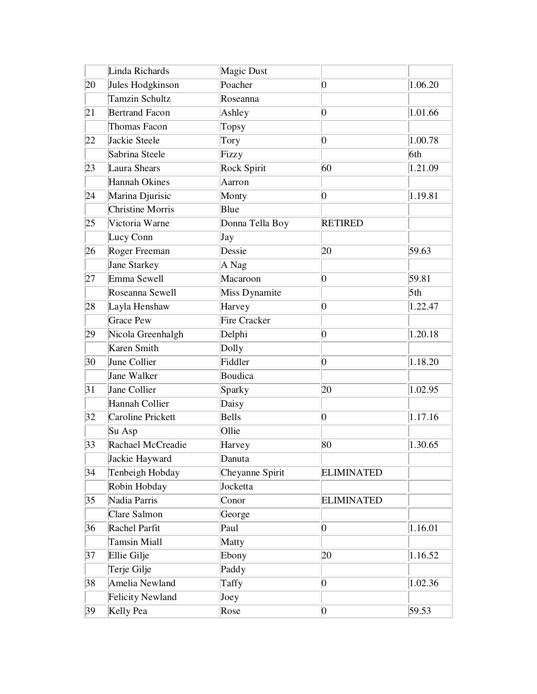|              | Linda Richards          | Magic Dust          |                   |                 |
|--------------|-------------------------|---------------------|-------------------|-----------------|
| 20           | Jules Hodgkinson        | Poacher             | $\vert 0 \vert$   | 1.06.20         |
|              | Tamzin Schultz          | Roseanna            |                   |                 |
| 21           | <b>Bertrand Facon</b>   | Ashley              | $\vert 0 \vert$   | 1.01.66         |
|              | Thomas Facon            | Topsy               |                   |                 |
| 22           | Jackie Steele           | Tory                | $\vert 0 \vert$   | 1.00.78         |
|              | Sabrina Steele          | Fizzy               |                   | 6th             |
| 23           | Laura Shears            | Rock Spirit         | 60                | 1.21.09         |
|              | <b>Hannah Okines</b>    | Aarron              |                   |                 |
| 24           | Marina Djurisic         | Monty               | $\vert 0 \vert$   | 1.19.81         |
|              | Christine Morris        | Blue                |                   |                 |
| 25           | Victoria Warne          | Donna Tella Boy     | <b>RETIRED</b>    |                 |
|              | Lucy Conn               | Jay                 |                   |                 |
| 26           | Roger Freeman           | Dessie              | 20                | 59.63           |
|              | Jane Starkey            | A Nag               |                   |                 |
| 27           | Emma Sewell             | Macaroon            | $\vert 0 \vert$   | 59.81           |
|              | Roseanna Sewell         | Miss Dynamite       |                   | 5 <sup>th</sup> |
| 28           | Layla Henshaw           | Harvey              | $\vert 0 \vert$   | 1.22.47         |
|              | <b>Grace Pew</b>        | <b>Fire Cracker</b> |                   |                 |
| 29           | Nicola Greenhalgh       | Delphi              | $\vert 0 \vert$   | 1.20.18         |
|              | Karen Smith             | Dolly               |                   |                 |
| 30           | June Collier            | Fiddler             | $\vert 0 \vert$   | 1.18.20         |
|              | Jane Walker             | Boudica             |                   |                 |
| 31           | Jane Collier            | Sparky              | 20                | 1.02.95         |
|              | Hannah Collier          | Daisy               |                   |                 |
| 32           | Caroline Prickett       | <b>Bells</b>        | $\overline{0}$    | 1.17.16         |
|              | Su Asp                  | Ollie               |                   |                 |
| $ 33\rangle$ | Rachael McCreadie       | Harvey              | 80                | 1.30.65         |
|              | Jackie Hayward          | Danuta              |                   |                 |
| 34           | Tenbeigh Hobday         | Cheyanne Spirit     | <b>ELIMINATED</b> |                 |
|              | Robin Hobday            | Jocketta            |                   |                 |
| 35           | Nadia Parris            | Conor               | <b>ELIMINATED</b> |                 |
|              | Clare Salmon            | George              |                   |                 |
| 36           | Rachel Parfit           | Paul                | $\vert 0 \vert$   | 1.16.01         |
|              | Tamsin Miall            | Matty               |                   |                 |
| 37           | Ellie Gilje             | Ebony               | 20                | 1.16.52         |
|              | Terje Gilje             | Paddy               |                   |                 |
| 38           | Amelia Newland          | Taffy               | $\vert 0 \vert$   | 1.02.36         |
|              | <b>Felicity Newland</b> | Joey                |                   |                 |
| 39           | Kelly Pea               | Rose                | $\vert 0 \vert$   | 59.53           |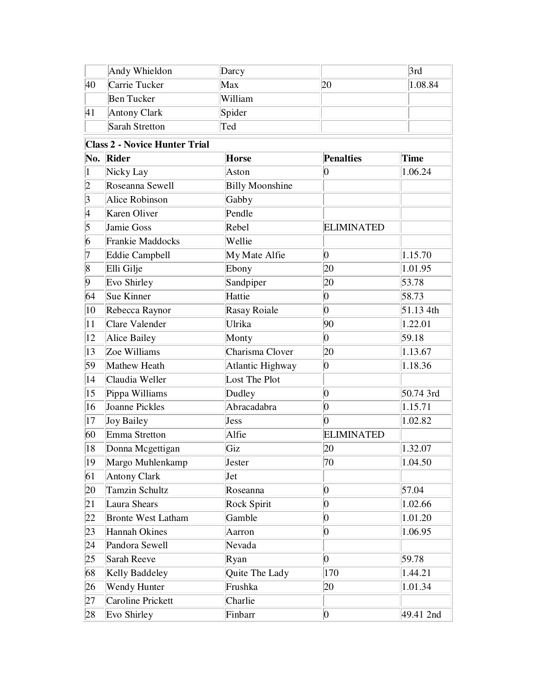|                         | Andy Whieldon                        | Darcy                  |                   | 3rd         |
|-------------------------|--------------------------------------|------------------------|-------------------|-------------|
| 40                      | Carrie Tucker                        | Max                    | 20                | 1.08.84     |
|                         | <b>Ben Tucker</b>                    | William                |                   |             |
| 41                      | <b>Antony Clark</b>                  | Spider                 |                   |             |
|                         | <b>Sarah Stretton</b><br>Ted         |                        |                   |             |
|                         | <b>Class 2 - Novice Hunter Trial</b> |                        |                   |             |
| No.                     | Rider                                | <b>Horse</b>           | <b>Penalties</b>  | Time        |
| $\mathbf 1$             | Nicky Lay                            | Aston                  | $\overline{0}$    | 1.06.24     |
| $\overline{2}$          | Roseanna Sewell                      | <b>Billy Moonshine</b> |                   |             |
| $\overline{\mathbf{3}}$ | Alice Robinson                       | Gabby                  |                   |             |
| 4                       | Karen Oliver                         | Pendle                 |                   |             |
| $\overline{5}$          | Jamie Goss                           | Rebel                  | <b>ELIMINATED</b> |             |
| 6                       | Frankie Maddocks                     | Wellie                 |                   |             |
| 7                       | Eddie Campbell                       | My Mate Alfie          | 0                 | 1.15.70     |
| $\vert 8$               | Elli Gilje                           | Ebony                  | 20                | 1.01.95     |
| $\vert 9$               | Evo Shirley                          | Sandpiper              | 20                | 53.78       |
| 64                      | Sue Kinner                           | Hattie                 | $\vert 0 \vert$   | 58.73       |
| 10                      | Rebecca Raynor                       | Rasay Roiale           | $\overline{0}$    | $51.13$ 4th |
| 11                      | Clare Valender                       | Ulrika                 | 90                | 1.22.01     |
| 12                      | Alice Bailey                         | Monty                  | $\overline{0}$    | 59.18       |
| 13                      | Zoe Williams                         | Charisma Clover        | 20                | 1.13.67     |
| 59                      | Mathew Heath                         | Atlantic Highway       | $\vert 0 \vert$   | 1.18.36     |
| 14                      | Claudia Weller                       | Lost The Plot          |                   |             |
| 15                      | Pippa Williams                       | Dudley                 | $\vert 0 \vert$   | 50.74 3rd   |
| 16                      | Joanne Pickles                       | Abracadabra            | $\overline{0}$    | 1.15.71     |
| 17                      | Joy Bailey                           | Jess                   | 0                 | 1.02.82     |
| 60                      | Emma Stretton                        | Alfie                  | <b>ELIMINATED</b> |             |
| 18                      | Donna Mcgettigan                     | Giz                    | 20                | 1.32.07     |
| 19                      | Margo Muhlenkamp                     | Jester                 | 70                | 1.04.50     |
| 61                      | Antony Clark                         | Jet                    |                   |             |
| 20                      | <b>Tamzin Schultz</b>                | Roseanna               | $\vert 0 \vert$   | 57.04       |
| 21                      | Laura Shears                         | Rock Spirit            | $\vert 0 \vert$   | 1.02.66     |
| 22                      | <b>Bronte West Latham</b>            | Gamble                 | $\overline{0}$    | 1.01.20     |
| 23                      | <b>Hannah Okines</b>                 | Aarron                 | $\vert 0 \vert$   | 1.06.95     |
| 24                      | Pandora Sewell                       | Nevada                 |                   |             |
| 25                      | Sarah Reeve                          | Ryan                   | $\overline{0}$    | 59.78       |
| 68                      | Kelly Baddeley                       | Quite The Lady         | 170               | 1.44.21     |
| 26                      | Wendy Hunter                         | Frushka                | 20                | 1.01.34     |
| 27                      | Caroline Prickett                    | Charlie                |                   |             |
| 28                      | Evo Shirley                          | Finbarr                | $\vert 0 \vert$   | 49.41 2nd   |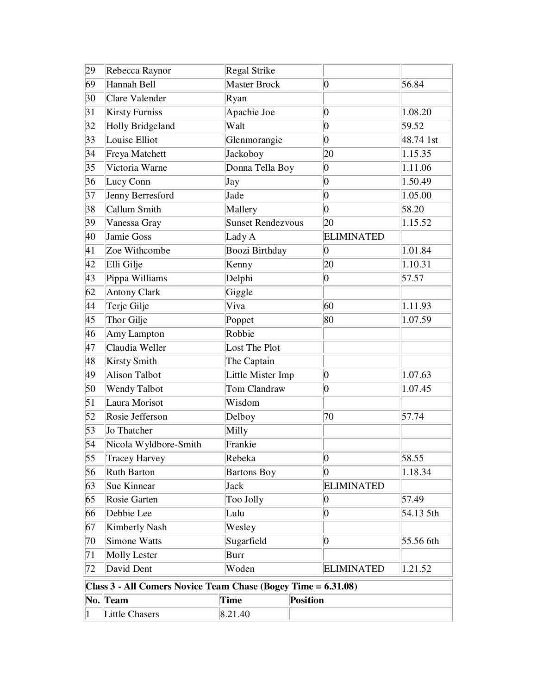| 29                                                            | Rebecca Raynor        | Regal Strike        |                   |           |
|---------------------------------------------------------------|-----------------------|---------------------|-------------------|-----------|
| 69                                                            | Hannah Bell           | <b>Master Brock</b> | $\vert 0 \vert$   | 56.84     |
| 30                                                            | Clare Valender        | Ryan                |                   |           |
| 31                                                            | <b>Kirsty Furniss</b> | Apachie Joe         | $\vert 0 \vert$   | 1.08.20   |
| 32                                                            | Holly Bridgeland      | Walt                | $\overline{0}$    | 59.52     |
| 33                                                            | Louise Elliot         | Glenmorangie        | $\overline{0}$    | 48.74 1st |
| 34                                                            | Freya Matchett        | Jackoboy            | 20                | 1.15.35   |
| 35                                                            | Victoria Warne        | Donna Tella Boy     | 0                 | 1.11.06   |
| 36                                                            | Lucy Conn             | Jay                 | $\vert 0 \vert$   | 1.50.49   |
| 37                                                            | Jenny Berresford      | Jade                | $\vert 0 \vert$   | 1.05.00   |
| 38                                                            | Callum Smith          | Mallery             | 0                 | 58.20     |
| 39                                                            | Vanessa Gray          | Sunset Rendezvous   | 20                | 1.15.52   |
| 40                                                            | Jamie Goss            | Lady A              | <b>ELIMINATED</b> |           |
| 41                                                            | Zoe Withcombe         | Boozi Birthday      | $\vert 0 \vert$   | 1.01.84   |
| $ 42\rangle$                                                  | Elli Gilje            | Kenny               | 20                | 1.10.31   |
| 43                                                            | Pippa Williams        | Delphi              | 0                 | 57.57     |
| 62                                                            | Antony Clark          | Giggle              |                   |           |
| 44                                                            | Terje Gilje           | Viva                | 60                | 1.11.93   |
| 45                                                            | Thor Gilje            | Poppet              | 80                | 1.07.59   |
| 46                                                            | Amy Lampton           | Robbie              |                   |           |
| 47                                                            | Claudia Weller        | Lost The Plot       |                   |           |
| 48                                                            | Kirsty Smith          | The Captain         |                   |           |
| 49                                                            | Alison Talbot         | Little Mister Imp   | $\vert 0 \vert$   | 1.07.63   |
| 50                                                            | <b>Wendy Talbot</b>   | Tom Clandraw        | 0                 | 1.07.45   |
| 51                                                            | Laura Morisot         | Wisdom              |                   |           |
| 52                                                            | Rosie Jefferson       | Delboy              | 70                | 57.74     |
| 53                                                            | Jo Thatcher           | Milly               |                   |           |
| 54                                                            | Nicola Wyldbore-Smith | Frankie             |                   |           |
| 55                                                            | Tracey Harvey         | Rebeka              | $\overline{0}$    | 58.55     |
| 56                                                            | <b>Ruth Barton</b>    | <b>Bartons Boy</b>  | $\overline{0}$    | 1.18.34   |
| 63                                                            | Sue Kinnear           | Jack                | <b>ELIMINATED</b> |           |
| 65                                                            | Rosie Garten          | Too Jolly           | 0                 | 57.49     |
| 66                                                            | Debbie Lee            | Lulu                | $\vert 0 \vert$   | 54.13 5th |
| 67                                                            | Kimberly Nash         | Wesley              |                   |           |
| 70                                                            | Simone Watts          | Sugarfield          | $\vert 0 \vert$   | 55.56 6th |
| 71                                                            | Molly Lester          | Burr                |                   |           |
| 72                                                            | David Dent            | Woden               | <b>ELIMINATED</b> | 1.21.52   |
| Class 3 - All Comers Novice Team Chase (Bogey Time = 6.31.08) |                       |                     |                   |           |
|                                                               | No. Team              | <b>Time</b>         | <b>Position</b>   |           |
|                                                               | <b>Little Chasers</b> | 8.21.40             |                   |           |